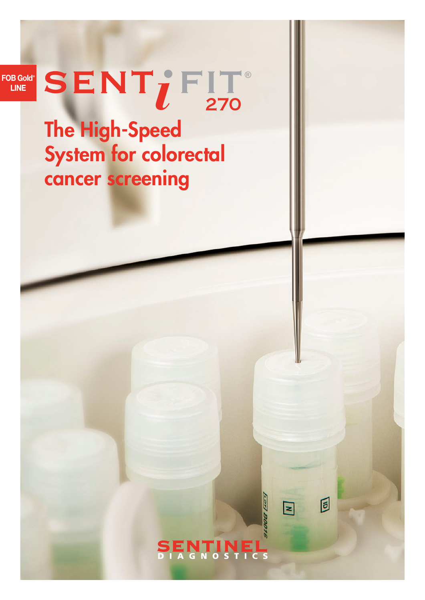FOB Gold<sup>®</sup> LINE

# SENT; FIT

# The High-Speed System for colorectal cancer screening

# ENTINEL<br>AGNOSTICS

**Lerl BO** 

 $\overline{\mathbf{z}}$ 

同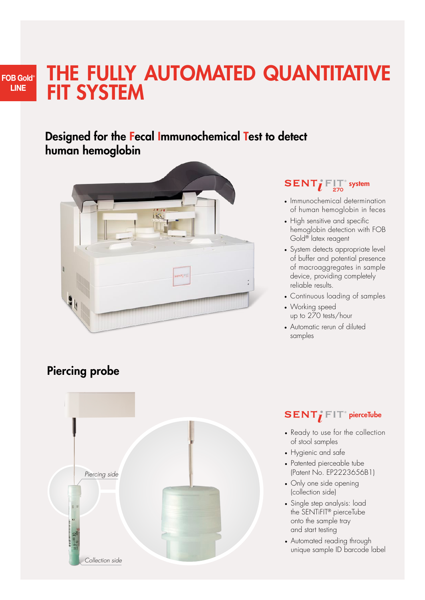# THE FULLY AUTOMATED QUANTITATIVE FIT SYSTEM

# Designed for the Fecal Immunochemical Test to detect human hemoglobin



# Piercing probe

FOB Gold<sup>®</sup> LINE



# $\Gamma$ **<sup>** $\Gamma$ **</sup>** $\overline{\phantom{a}}$ **system**

- Immunochemical determination of human hemoglobin in feces
- High sensitive and specific hemoglobin detection with FOB Gold® latex reagent
- System detects appropriate level of buffer and potential presence of macroaggregates in sample device, providing completely reliable results.
- Continuous loading of samples
- Working speed up to 270 tests/hour
- Automatic rerun of diluted samples

## $FIT<sup>°</sup>$  **pierceTube**

- Ready to use for the collection of stool samples
- Hygienic and safe
- Patented pierceable tube (Patent No. EP2223656B1)
- Only one side opening (collection side)
- Single step analysis: load the SENTiFIT® pierceTube onto the sample tray and start testing
- Automated reading through unique sample ID barcode label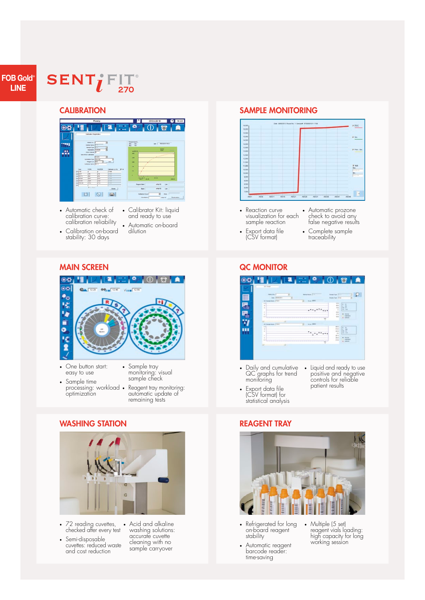#### FOB Gold<sup>®</sup> LINE

## **SENT; FIT 270**

#### **CALIBRATION**



- Automatic check of calibration curve: calibration reliability
- Calibration on-board stability: 30 days
- Calibrator Kit: liquid and ready to use • Automatic on-board dilution

#### MAIN SCREEN



- One button start: easy to use
- Sample tray monitoring: visual sample check
- Sample time processing: workload . optimization • Reagent tray monitoring: automatic update of remaining tests

#### WASHING STATION



- 72 reading cuvettes, checked after every test
- Semi-disposable cuvettes: reduced waste and cost reduction

• Acid and alkaline washing solutions: accurate cuvette cleaning with no sample carryover

#### SAMPLE MONITORING



- Reaction curve visualization for each sample reaction
- Export data file (CSV format)
- Automatic prozone check to avoid any false negative results
- Complete sample traceability

#### **QC MONITOR**



- Daily and cumulative QC graphs for trend monitoring
- Export data file (CSV format) for
- Liquid and ready to use positive and negative controls for reliable patient results

# statistical analysis

#### REAGENT TRAY



- Refrigerated for long on-board reagent stability
- Automatic reagent barcode reader: time-saving
- Multiple (5 set) reagent vials loading: high capacity for long working session